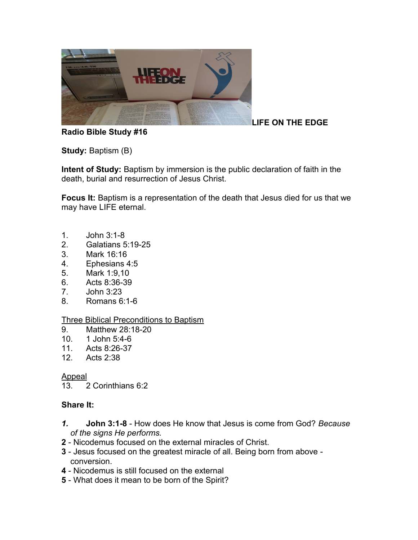

## **LIFE ON THE EDGE**

### **Radio Bible Study #16**

**Study: Baptism (B)** 

**Intent of Study:** Baptism by immersion is the public declaration of faith in the death, burial and resurrection of Jesus Christ.

**Focus It:** Baptism is a representation of the death that Jesus died for us that we may have LIFE eternal.

- 1. John 3:1-8
- 2. Galatians 5:19-25
- 3. Mark 16:16
- 4. Ephesians 4:5
- 5. Mark 1:9,10
- 6. Acts 8:36-39
- 7. John 3:23
- 8. Romans 6:1-6

#### Three Biblical Preconditions to Baptism

- 9. Matthew 28:18-20
- 10. 1 John 5:4-6
- 11. Acts 8:26-37
- 12. Acts 2:38

#### Appeal

13. 2 Corinthians 6:2

### **Share It:**

- *1.* **John 3:1-8**  How does He know that Jesus is come from God? *Because of the signs He performs.*
- **2** Nicodemus focused on the external miracles of Christ.
- **3** Jesus focused on the greatest miracle of all. Being born from above conversion.
- **4** Nicodemus is still focused on the external
- **5** What does it mean to be born of the Spirit?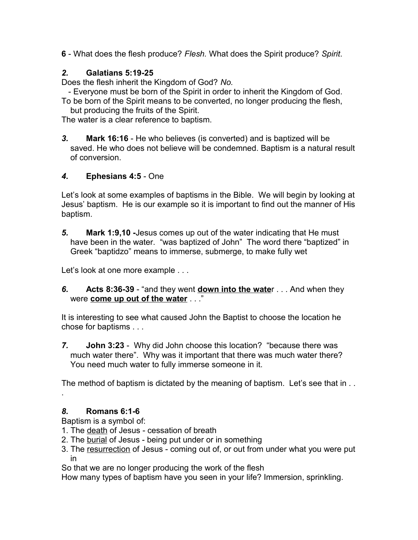**6** - What does the flesh produce? *Flesh.* What does the Spirit produce? *Spirit*.

# *2.* **Galatians 5:19-25**

Does the flesh inherit the Kingdom of God? *No.*

- Everyone must be born of the Spirit in order to inherit the Kingdom of God.

To be born of the Spirit means to be converted, no longer producing the flesh, but producing the fruits of the Spirit.

The water is a clear reference to baptism.

*3.* **Mark 16:16** - He who believes (is converted) and is baptized will be saved. He who does not believe will be condemned. Baptism is a natural result of conversion.

### *4.* **Ephesians 4:5** - One

Let's look at some examples of baptisms in the Bible. We will begin by looking at Jesus' baptism. He is our example so it is important to find out the manner of His baptism.

*5.* **Mark 1:9,10 -**Jesus comes up out of the water indicating that He must have been in the water. "was baptized of John" The word there "baptized" in Greek "baptidzo" means to immerse, submerge, to make fully wet

Let's look at one more example . . .

*6.* **Acts 8:36-39** - "and they went **down into the wate**r . . . And when they were **come up out of the water** . . ."

It is interesting to see what caused John the Baptist to choose the location he chose for baptisms . . .

*7.* **John 3:23** - Why did John choose this location? "because there was much water there". Why was it important that there was much water there? You need much water to fully immerse someone in it.

The method of baptism is dictated by the meaning of baptism. Let's see that in . . .

### *8.* **Romans 6:1-6**

Baptism is a symbol of:

- 1. The death of Jesus cessation of breath
- 2. The burial of Jesus being put under or in something
- 3. The resurrection of Jesus coming out of, or out from under what you were put in

So that we are no longer producing the work of the flesh

How many types of baptism have you seen in your life? Immersion, sprinkling.